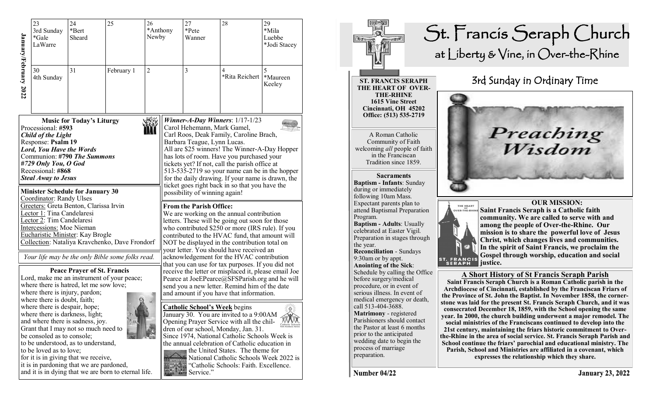| January/February 2022 | 23<br>3rd Sunday<br>*Gale<br>LaWarre                                                                                                                                                                                                                                                                                                                                                                                                                                                              | 24<br>*Bert<br>Sheard                                                             | 25                                                   | 26<br>*Anthony<br>Newby                                                                                                                                                                                                                                                                                                           |  | 27<br>*Pete<br>Wanner                                                                                                                                                                                                                                                                                                                                                                                                                                                                                                                                                                                                      | 28                  | 29<br>*Mila<br>Luebbe<br>*Jodi Stacey |  |  |
|-----------------------|---------------------------------------------------------------------------------------------------------------------------------------------------------------------------------------------------------------------------------------------------------------------------------------------------------------------------------------------------------------------------------------------------------------------------------------------------------------------------------------------------|-----------------------------------------------------------------------------------|------------------------------------------------------|-----------------------------------------------------------------------------------------------------------------------------------------------------------------------------------------------------------------------------------------------------------------------------------------------------------------------------------|--|----------------------------------------------------------------------------------------------------------------------------------------------------------------------------------------------------------------------------------------------------------------------------------------------------------------------------------------------------------------------------------------------------------------------------------------------------------------------------------------------------------------------------------------------------------------------------------------------------------------------------|---------------------|---------------------------------------|--|--|
|                       | 30<br>4th Sunday                                                                                                                                                                                                                                                                                                                                                                                                                                                                                  | 31                                                                                | February 1                                           | $\overline{2}$                                                                                                                                                                                                                                                                                                                    |  | 3                                                                                                                                                                                                                                                                                                                                                                                                                                                                                                                                                                                                                          | 4<br>*Rita Reichert | 5<br>*Maureen<br>Keeley               |  |  |
|                       | <b>Music for Today's Liturgy</b><br>Processional: #593<br><b>Child of the Light</b><br>Response: Psalm 19<br><b>Lord, You Have the Words</b><br>Communion: #790 The Summons<br>#729 Only You, O God<br>Recessional: #868<br><b>Steal Away to Jesus</b><br><b>Minister Schedule for January 30</b>                                                                                                                                                                                                 |                                                                                   |                                                      |                                                                                                                                                                                                                                                                                                                                   |  | Winner-A-Day Winners: $1/17-1/23$<br>Carol Hehemann, Mark Gamel,<br>Carl Roos, Deak Family, Caroline Brach,<br>Barbara Teague, Lynn Lucas.<br>All are \$25 winners! The Winner-A-Day Hopper<br>has lots of room. Have you purchased your<br>tickets yet? If not, call the parish office at<br>513-535-2719 so your name can be in the hopper<br>for the daily drawing. If your name is drawn, the<br>ticket goes right back in so that you have the<br>possibility of winning again!                                                                                                                                       |                     |                                       |  |  |
|                       | Coordinator: Randy Ulses<br>Lector 1: Tina Candelaresi<br>Lector 2: Tim Candelaresi<br><b>Intercessions:</b> Moe Nieman                                                                                                                                                                                                                                                                                                                                                                           | Greeters: Greta Benton, Clarissa Irvin<br><b>Eucharistic Minister: Kay Brogle</b> | Collection: Nataliya Kravchenko, Dave Frondorf       | <b>From the Parish Office:</b><br>We are working on the annual contribution<br>letters. These will be going out soon for those<br>who contributed \$250 or more (IRS rule). If you<br>contributed to the HVAC fund, that amount will<br>NOT be displayed in the contribution total on<br>your letter. You should have received an |  |                                                                                                                                                                                                                                                                                                                                                                                                                                                                                                                                                                                                                            |                     |                                       |  |  |
|                       | Your life may be the only Bible some folks read.<br><b>Peace Prayer of St. Francis</b><br>Lord, make me an instrument of your peace;<br>where there is hatred, let me sow love;<br>where there is injury, pardon;<br>where there is doubt, faith;<br>where there is despair, hope;<br>where there is darkness, light;<br>and where there is sadness, joy.<br>Grant that I may not so much need to<br>be consoled as to console;<br>to be understood, as to understand,<br>to be loved as to love; |                                                                                   |                                                      |                                                                                                                                                                                                                                                                                                                                   |  | acknowledgement for the HVAC contribution<br>that you can use for tax purposes. If you did not<br>receive the letter or misplaced it, please email Joe<br>Pearce at JoeEPearce@SFSParish.org and he will<br>send you a new letter. Remind him of the date<br>and amount if you have that information.<br><b>Catholic School's Week</b> begins<br>贠<br>January 30. You are invited to a 9:00AM<br>Opening Prayer Service with all the chil-<br>dren of our school, Monday, Jan. 31.<br>Since 1974, National Catholic Schools Week is<br>the annual celebration of Catholic education in<br>the United States. The theme for |                     |                                       |  |  |
|                       |                                                                                                                                                                                                                                                                                                                                                                                                                                                                                                   | for it is in giving that we receive,<br>it is in pardoning that we are pardoned,  | and it is in dying that we are born to eternal life. | National Catholic Schools Week 2022 is<br>"Catholic Schools: Faith. Excellence.<br>Service."                                                                                                                                                                                                                                      |  |                                                                                                                                                                                                                                                                                                                                                                                                                                                                                                                                                                                                                            |                     |                                       |  |  |